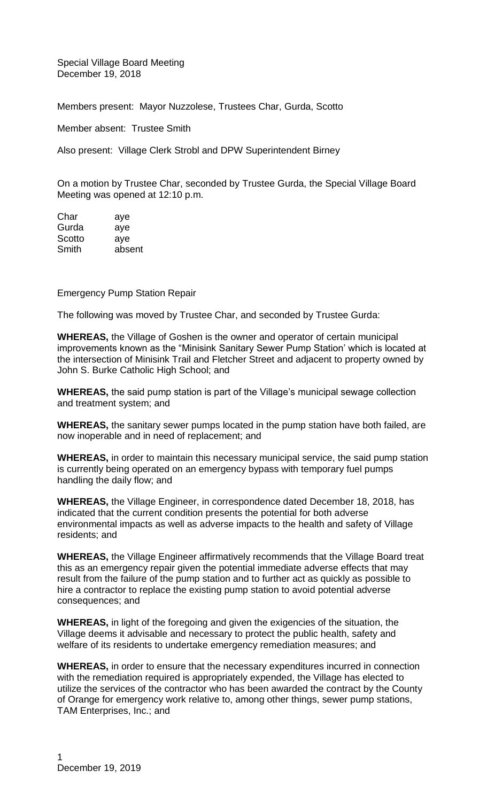Special Village Board Meeting December 19, 2018

Members present: Mayor Nuzzolese, Trustees Char, Gurda, Scotto

Member absent: Trustee Smith

Also present: Village Clerk Strobl and DPW Superintendent Birney

On a motion by Trustee Char, seconded by Trustee Gurda, the Special Village Board Meeting was opened at 12:10 p.m.

Char aye Gurda aye Scotto aye Smith absent

## Emergency Pump Station Repair

The following was moved by Trustee Char, and seconded by Trustee Gurda:

**WHEREAS,** the Village of Goshen is the owner and operator of certain municipal improvements known as the "Minisink Sanitary Sewer Pump Station' which is located at the intersection of Minisink Trail and Fletcher Street and adjacent to property owned by John S. Burke Catholic High School; and

**WHEREAS,** the said pump station is part of the Village's municipal sewage collection and treatment system; and

**WHEREAS,** the sanitary sewer pumps located in the pump station have both failed, are now inoperable and in need of replacement; and

**WHEREAS,** in order to maintain this necessary municipal service, the said pump station is currently being operated on an emergency bypass with temporary fuel pumps handling the daily flow; and

**WHEREAS,** the Village Engineer, in correspondence dated December 18, 2018, has indicated that the current condition presents the potential for both adverse environmental impacts as well as adverse impacts to the health and safety of Village residents; and

**WHEREAS,** the Village Engineer affirmatively recommends that the Village Board treat this as an emergency repair given the potential immediate adverse effects that may result from the failure of the pump station and to further act as quickly as possible to hire a contractor to replace the existing pump station to avoid potential adverse consequences; and

**WHEREAS,** in light of the foregoing and given the exigencies of the situation, the Village deems it advisable and necessary to protect the public health, safety and welfare of its residents to undertake emergency remediation measures; and

**WHEREAS,** in order to ensure that the necessary expenditures incurred in connection with the remediation required is appropriately expended, the Village has elected to utilize the services of the contractor who has been awarded the contract by the County of Orange for emergency work relative to, among other things, sewer pump stations, TAM Enterprises, Inc.; and